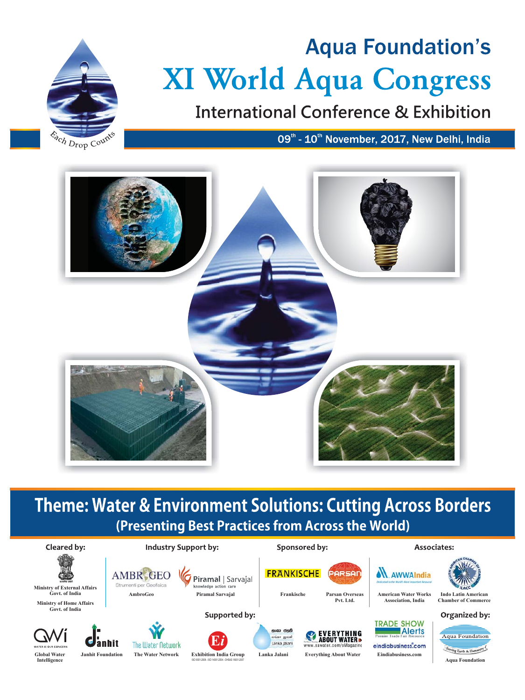

# **Aqua Foundation's XI World Aqua Congress**

**International Conference & Exhibition** 

09<sup>th</sup> - 10<sup>th</sup> November, 2017, New Delhi, India



## **Theme: Water & Environment Solutions: Cutting Across Borders** (Presenting Best Practices from Across the World)

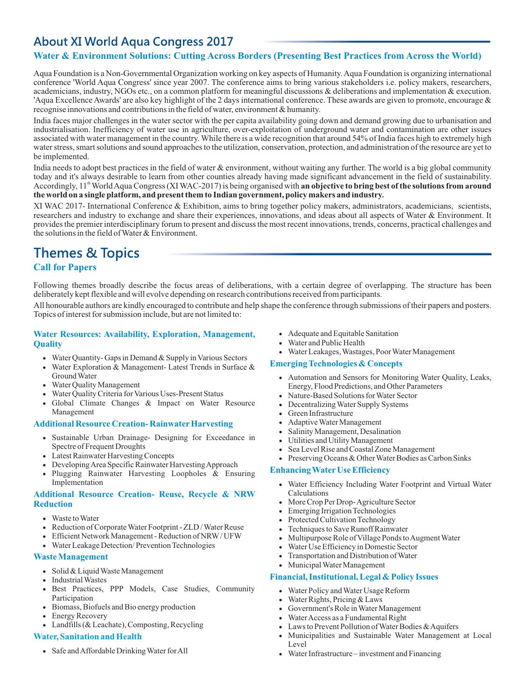### **About XI World Aqua Congress 2017**

### **Water & Environment Solutions: Cutting Across Borders (Presenting Best Practices from Across the World)**

Aqua Foundation is a Non-Governmental Organization working on key aspects of Humanity. Aqua Foundation is organizing international conference 'World Aqua Congress' since year 2007. The conference aims to bring various stakeholders i.e. policy makers, researchers, academicians, industry, NGOs etc., on a common platform for meaningful discussions & deliberations and implementation & execution. 'Aqua Excellence Awards' are also key highlight of the 2 days international conference. These awards are given to promote, encourage  $\&$ recognise innovations and contributions in the field of water, environment & humanity. **utions: Cutting Across Borders (Presenting Best Practices from Across the**<br>trimental Organization working on key aspects of Humanity. Aqua Foundation is organizing<br>ss' since year 2007. The conference aims to bring various

recognise innovations and contributions in the field of water, environment & humanity.<br>India faces major challenges in the water sector with the per capita availability going down and demand growing due to urbanisation and industrialisation. Inefficiency of water use in agriculture, over-exploitation of underground water and contamination are other issues associated with water management in the country. While there is a wide recognition that around 54% of India faces high to extremely high water stress, smart solutions and sound approaches to the utilization, conservation, protection, and administration of the resource are yet to be implemented.

India needs to adopt best practices in the field of water & environment, without waiting any further. The world is a big global community today and it's always desirable to learn from other counties already having made significant advancement in the field of sustainability.<br>Accordingly, 11<sup>th</sup> World Aqua Congress (XI WAC-2017) is being organised with **an obj** the world on a single platform, and present them to Indian government, policy makers and industry. today and it's always desirable to learn from other counties already having made significant advancement in the field of sustainability.

XI WAC 2017- International Conference & Exhibition, aims to bring together policy makers, administrators, academicians, scientists, researchers and industry to exchange and share their experiences, innovations, and ideas about all aspects of Water & Environment. It provides the premier interdisciplinary forum to present and discuss the most recent innovations, trends, concerns, practical challenges and the solutions in the field of Water & Environment.

### **Themes & Topics**

### **Call for Papers**

Following themes broadly describe the focus areas of deliberations, with a certain degree of overlapping. The structure has been deliberately kept flexible and will evolve depending on research contributions received from participants.

All honourable authors are kindly encouraged to contribute and help shape the conference through submissions of their papers and posters. Topics of interest for submission include, but are not limited to:

#### **Water Resources: Availability, Exploration, Management, Quality**

- · Water Quantity- Gaps in Demand & Supply in Various Sectors
- · Water Exploration & Management- Latest Trends in Surface & Ground Water
- · Water Quality Management
- · Water Quality Criteria for Various Uses-Present Status
- · Global Climate Changes & Impact on Water Resource Management

#### **Additional Resource Creation- Rainwater Harvesting**

- · Sustainable Urban Drainage- Designing for Exceedance in Spectre of Frequent Droughts
- · Latest Rainwater Harvesting Concepts
- · Developing Area Specific Rainwater Harvesting Approach
- · Plugging Rainwater Harvesting Loopholes & Ensuring Implementation

### **Additional Resource Creation- Reuse, Recycle & NRW Reduction**

- · Waste to Water
- · Reduction of Corporate Water Footprint - ZLD / Water Reuse
- · Efficient Network Management - Reduction of NRW / UFW
- · Water Leakage Detection/ Prevention Technologies

#### **Waste Management**

- Solid & Liquid Waste Management
- · Industrial Wastes
- · Best Practices, PPP Models, Case Studies, Community Participation
- · Biomass, Biofuels and Bio energy production
- · Energy Recovery
- Landfills (& Leachate), Composting, Recycling

### **Water, Sanitation and Health**

· Safe and Affordable Drinking Water for All

- · Adequate and Equitable Sanitation
- · Water and Public Health
- · Water Leakages, Wastages, Poor Water Management

#### **Emerging Technologies & Concepts**

- · Automation and Sensors for Monitoring Water Quality, Leaks, Energy, Flood Predictions, and Other Parameters
- · Nature-Based Solutions for Water Sector
- · Decentralizing Water Supply Systems
- · Green Infrastructure
- · Adaptive Water Management
- · Salinity Management, Desalination
- · Utilities and Utility Management
- · Sea Level Rise and Coastal Zone Management
- · Preserving Oceans & Other Water Bodies as Carbon Sinks

#### **Enhancing Water Use Efficiency**

- · Water Efficiency Including Water Footprint and Virtual Water Calculations
- · More Crop Per Drop- Agriculture Sector
- · Emerging Irrigation Technologies
- · Protected Cultivation Technology
- · Techniques to Save Runoff Rainwater
- · Multipurpose Role of Village Ponds to Augment Water
- · Water Use Efficiency in Domestic Sector
- · Transportation and Distribution of Water
- · Municipal Water Management

#### **Financial, Institutional, Legal & Policy Issues**

- · Water Policy and Water Usage Reform
- · Water Rights, Pricing & Laws
- · Government's Role in Water Management
- · Water Access as a Fundamental Right
- · Laws to Prevent Pollution of Water Bodies & Aquifers
- · Municipalities and Sustainable Water Management at Local Level
- · Water Infrastructure – investment and Financing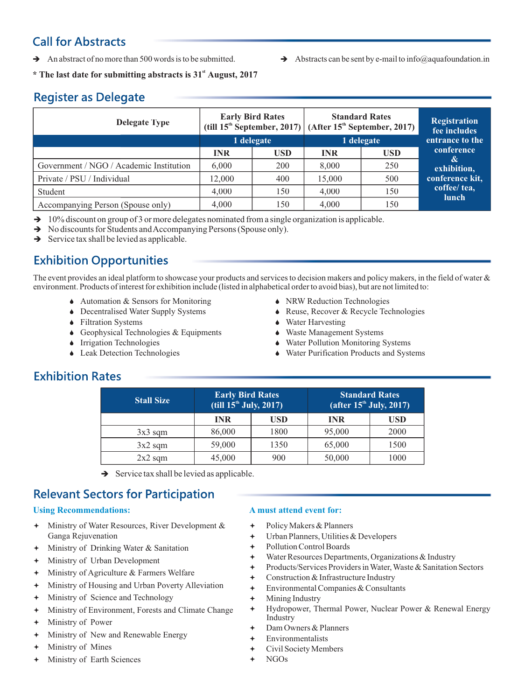### **Call for Abstracts**

An abstract of no more than 500 words is to be submitted.  $\rightarrow$  Abstracts can be sent by e-mail to info@aquafoundation.in

\* The last date for submitting abstracts is 31<sup>st</sup> August, 2017

### **Register as Delegate**

| <b>Delegate Type</b>                                                                                                                                                                                                                                          | <b>Early Bird Rates</b> |            | <b>Standard Rates</b><br>(till $15^{\text{th}}$ September, 2017) (After $15^{\text{th}}$ September, 2017) |            | <b>Registration</b><br>fee includes |
|---------------------------------------------------------------------------------------------------------------------------------------------------------------------------------------------------------------------------------------------------------------|-------------------------|------------|-----------------------------------------------------------------------------------------------------------|------------|-------------------------------------|
|                                                                                                                                                                                                                                                               | 1 delegate              |            | 1 delegate                                                                                                |            | entrance to the                     |
|                                                                                                                                                                                                                                                               | <b>INR</b>              | <b>USD</b> | <b>INR</b>                                                                                                | <b>USD</b> | conference                          |
| Government / NGO / Academic Institution                                                                                                                                                                                                                       | 6,000                   | 200        | 8,000                                                                                                     | 250        | $\mathcal{X}$<br>exhibition,        |
| Private / PSU / Individual                                                                                                                                                                                                                                    | 12,000                  | 400        | 15,000                                                                                                    | 500        | conference kit,                     |
| Student                                                                                                                                                                                                                                                       | 4,000                   | 150        | 4,000                                                                                                     | 150        | coffee/ tea,<br>lunch               |
| Accompanying Person (Spouse only)                                                                                                                                                                                                                             | 4,000                   | 150        | 4,000                                                                                                     | 150        |                                     |
| $\rightarrow$ 10% discount on group of 3 or more delegates nominated from a single organization is applicable.<br>$\rightarrow$ No discounts for Students and Accompanying Persons (Spouse only).<br>$\rightarrow$ Service tax shall be levied as applicable. |                         |            |                                                                                                           |            |                                     |

- $\rightarrow$  10% discount on group of 3 or more delegates nominated from a single organization is applicable.
- → No discounts for Students and Accompanying Persons (Spouse only).
- $\rightarrow$  Service tax shall be levied as applicable.

### **Exhibition Opportunities**

The event provides an ideal platform to showcase your products and services to decision makers and policy makers, in the field of water  $\&$ environment. Products of interest for exhibition include (listed in alphabetical order to avoid bias), but are not limited to:

- $\blacklozenge$  Automation & Sensors for Monitoring
- Decentralised Water Supply Systems
- Filtration Systems
- $\triangle$  Geophysical Technologies & Equipments
- $\bullet$  Irrigation Technologies
- Leak Detection Technologies
- NRW Reduction Technologies
- Reuse, Recover & Recycle Technologies
- $\triangle$  Water Harvesting
- Waste Management Systems
- Water Pollution Monitoring Systems
- Water Purification Products and Systems

### **Exhibition Rates**

| <b>Stall Size</b> | <b>Early Bird Rates</b><br>(till $15^{\text{th}}$ July, 2017) |      | <b>Standard Rates</b><br>(after $15^{\text{th}}$ July, 2017) |      |
|-------------------|---------------------------------------------------------------|------|--------------------------------------------------------------|------|
|                   | <b>INR</b>                                                    | USD  | <b>INR</b>                                                   | USD  |
| $3x3$ sqm         | 86,000                                                        | 1800 | 95,000                                                       | 2000 |
| $3x2$ sqm         | 59,000                                                        | 1350 | 65,000                                                       | 1500 |
| $2x2$ sqm         | 45,000                                                        | 900  | 50,000                                                       | 1000 |

 $\rightarrow$  Service tax shall be levied as applicable.

### **Relevant Sectors for Participation**

### **Using Recommendations:**

- <sup>+</sup> Ministry of Water Resources, River Development & Ganga Rejuvenation
- Ministry of Drinking Water & Sanitation
- ª Ministry of Urban Development
- <sup>+</sup> Ministry of Agriculture & Farmers Welfare
- <sup>+</sup> Ministry of Housing and Urban Poverty Alleviation
- <sup>+</sup> Ministry of Science and Technology
- <sup>+</sup> Ministry of Environment, Forests and Climate Change
- Ministry of Power
- <sup>+</sup> Ministry of New and Renewable Energy
- ª Ministry of Mines
- Ministry of Earth Sciences

### **A must attend event for:**

- + Policy Makers & Planners
- ª Urban Planners, Utilities & Developers
- + Pollution Control Boards
- <sup>+</sup> Water Resources Departments, Organizations & Industry
- Products/Services Providers in Water, Waste & Sanitation Sectors
- <sup>+</sup> Construction & Infrastructure Industry
- ª Environmental Companies & Consultants
- Mining Industry
- ª Hydropower, Thermal Power, Nuclear Power & Renewal Energy Industry
- Dam Owners & Planners
- **Environmentalists**
- Civil Society Members
- NGO<sub>s</sub>